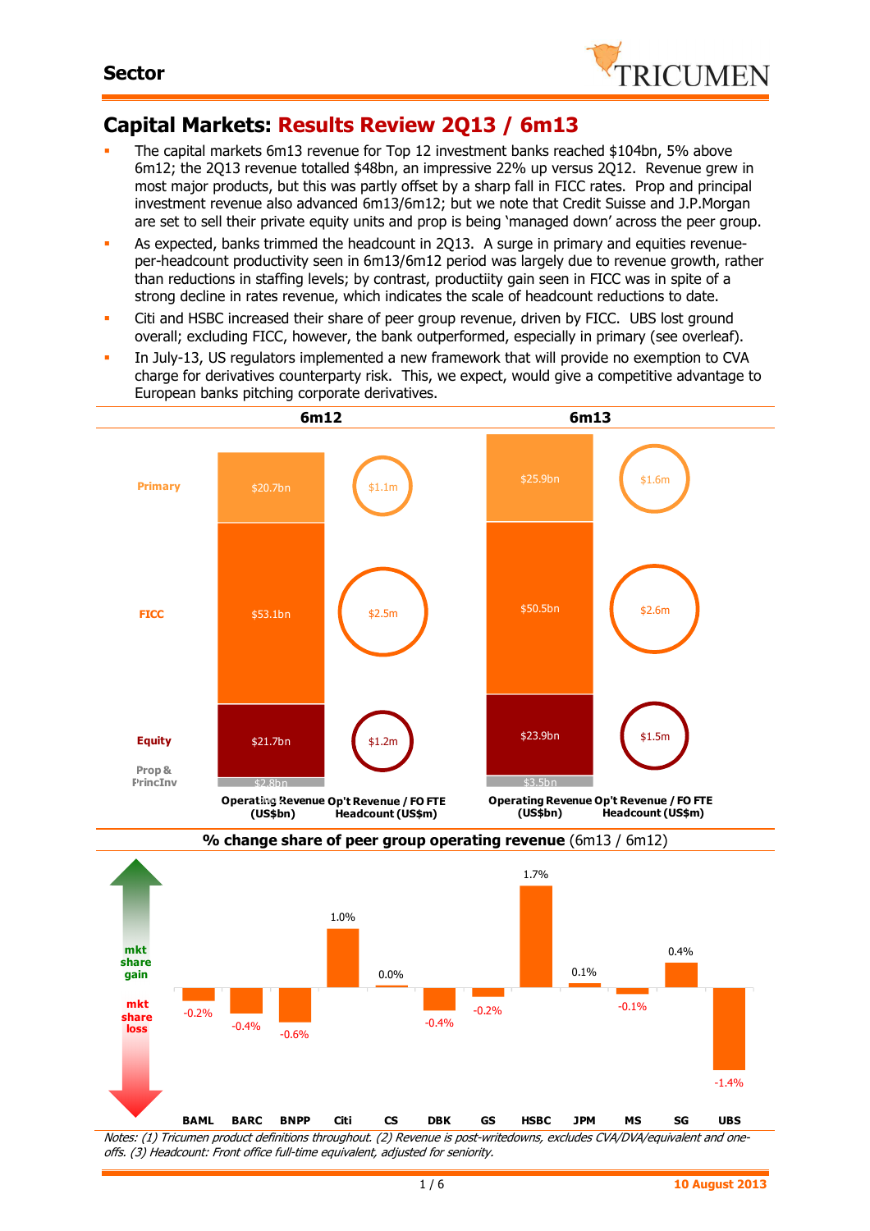

# **Capital Markets: Results Review 2Q13 / 6m13**

- The capital markets 6m13 revenue for Top 12 investment banks reached \$104bn, 5% above 6m12; the 2Q13 revenue totalled \$48bn, an impressive 22% up versus 2Q12. Revenue grew in most major products, but this was partly offset by a sharp fall in FICC rates. Prop and principal investment revenue also advanced 6m13/6m12; but we note that Credit Suisse and J.P.Morgan are set to sell their private equity units and prop is being 'managed down' across the peer group.
- As expected, banks trimmed the headcount in 2Q13. A surge in primary and equities revenueper-headcount productivity seen in 6m13/6m12 period was largely due to revenue growth, rather than reductions in staffing levels; by contrast, productiity gain seen in FICC was in spite of a strong decline in rates revenue, which indicates the scale of headcount reductions to date.
- Citi and HSBC increased their share of peer group revenue, driven by FICC. UBS lost ground overall; excluding FICC, however, the bank outperformed, especially in primary (see overleaf).
- In July-13, US regulators implemented a new framework that will provide no exemption to CVA charge for derivatives counterparty risk. This, we expect, would give a competitive advantage to European banks pitching corporate derivatives.



Notes: (1) Tricumen product definitions throughout. (2) Revenue is post-writedowns, excludes CVA/DVA/equivalent and oneoffs. (3) Headcount: Front office full-time equivalent, adjusted for seniority.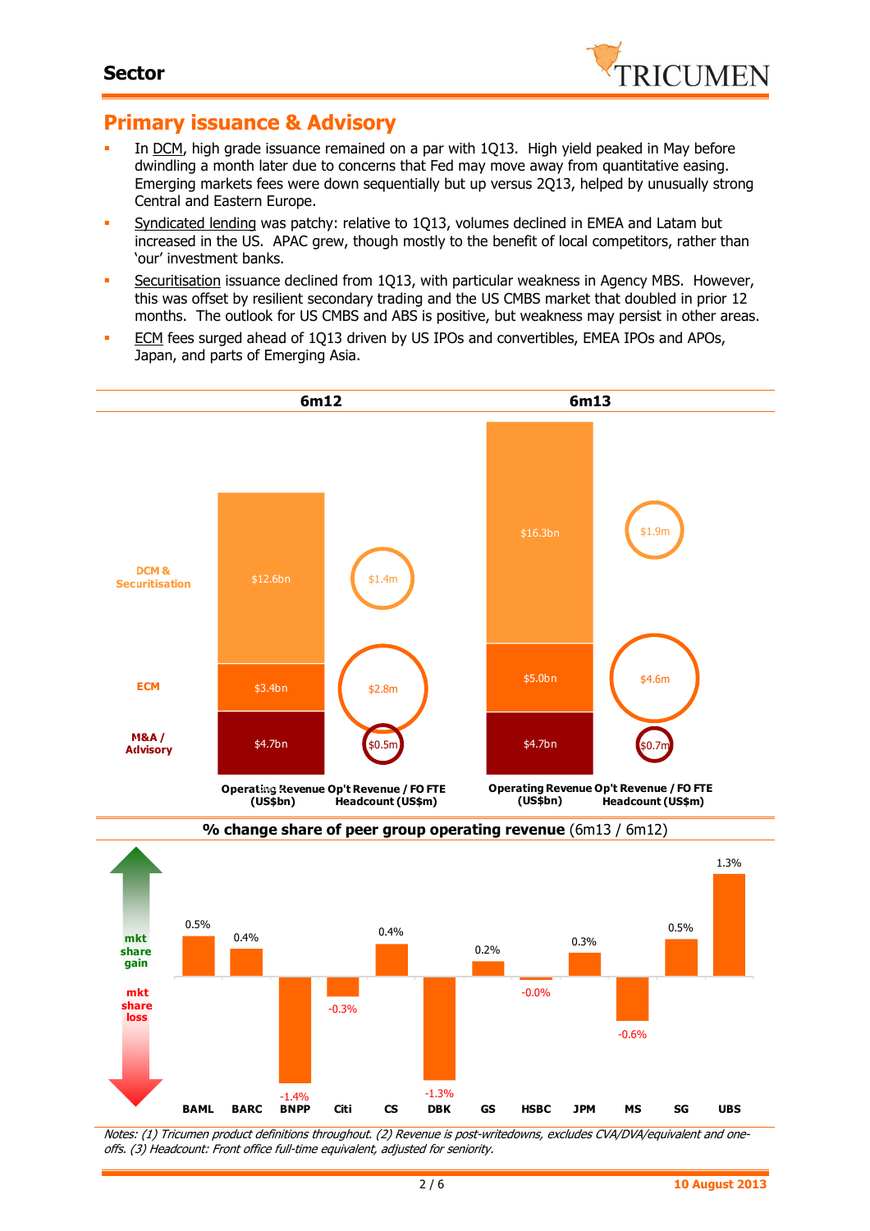

## **Primary issuance & Advisory**

- In DCM, high grade issuance remained on a par with 1Q13. High yield peaked in May before dwindling a month later due to concerns that Fed may move away from quantitative easing. Emerging markets fees were down sequentially but up versus 2Q13, helped by unusually strong Central and Eastern Europe.
- **Syndicated lending was patchy: relative to 1Q13, volumes declined in EMEA and Latam but** increased in the US. APAC grew, though mostly to the benefit of local competitors, rather than 'our' investment banks.
- **Securitisation issuance declined from 1Q13, with particular weakness in Agency MBS. However,** this was offset by resilient secondary trading and the US CMBS market that doubled in prior 12 months. The outlook for US CMBS and ABS is positive, but weakness may persist in other areas.
- **ECM** fees surged ahead of 1Q13 driven by US IPOs and convertibles, EMEA IPOs and APOs, Japan, and parts of Emerging Asia.





Notes: (1) Tricumen product definitions throughout. (2) Revenue is post-writedowns, excludes CVA/DVA/equivalent and oneoffs. (3) Headcount: Front office full-time equivalent, adjusted for seniority.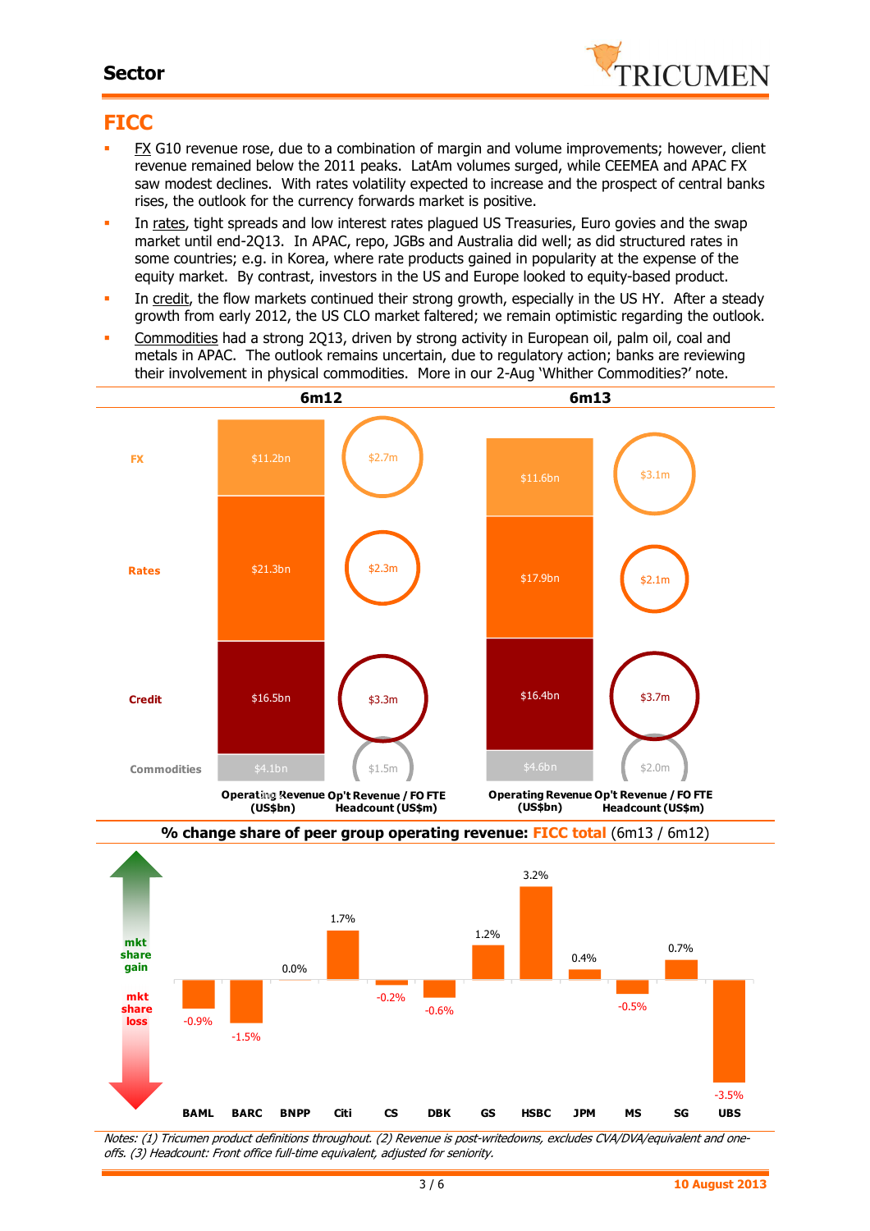#### **Sector**



### **FICC**

- FX G10 revenue rose, due to a combination of margin and volume improvements; however, client revenue remained below the 2011 peaks. LatAm volumes surged, while CEEMEA and APAC FX saw modest declines. With rates volatility expected to increase and the prospect of central banks rises, the outlook for the currency forwards market is positive.
- In rates, tight spreads and low interest rates plagued US Treasuries, Euro govies and the swap market until end-2Q13. In APAC, repo, JGBs and Australia did well; as did structured rates in some countries; e.g. in Korea, where rate products gained in popularity at the expense of the equity market. By contrast, investors in the US and Europe looked to equity-based product.
- In credit, the flow markets continued their strong growth, especially in the US HY. After a steady growth from early 2012, the US CLO market faltered; we remain optimistic regarding the outlook.
- Commodities had a strong 2Q13, driven by strong activity in European oil, palm oil, coal and metals in APAC. The outlook remains uncertain, due to regulatory action; banks are reviewing their involvement in physical commodities. More in our 2-Aug 'Whither Commodities?' note.





Notes: (1) Tricumen product definitions throughout. (2) Revenue is post-writedowns, excludes CVA/DVA/equivalent and oneoffs. (3) Headcount: Front office full-time equivalent, adjusted for seniority.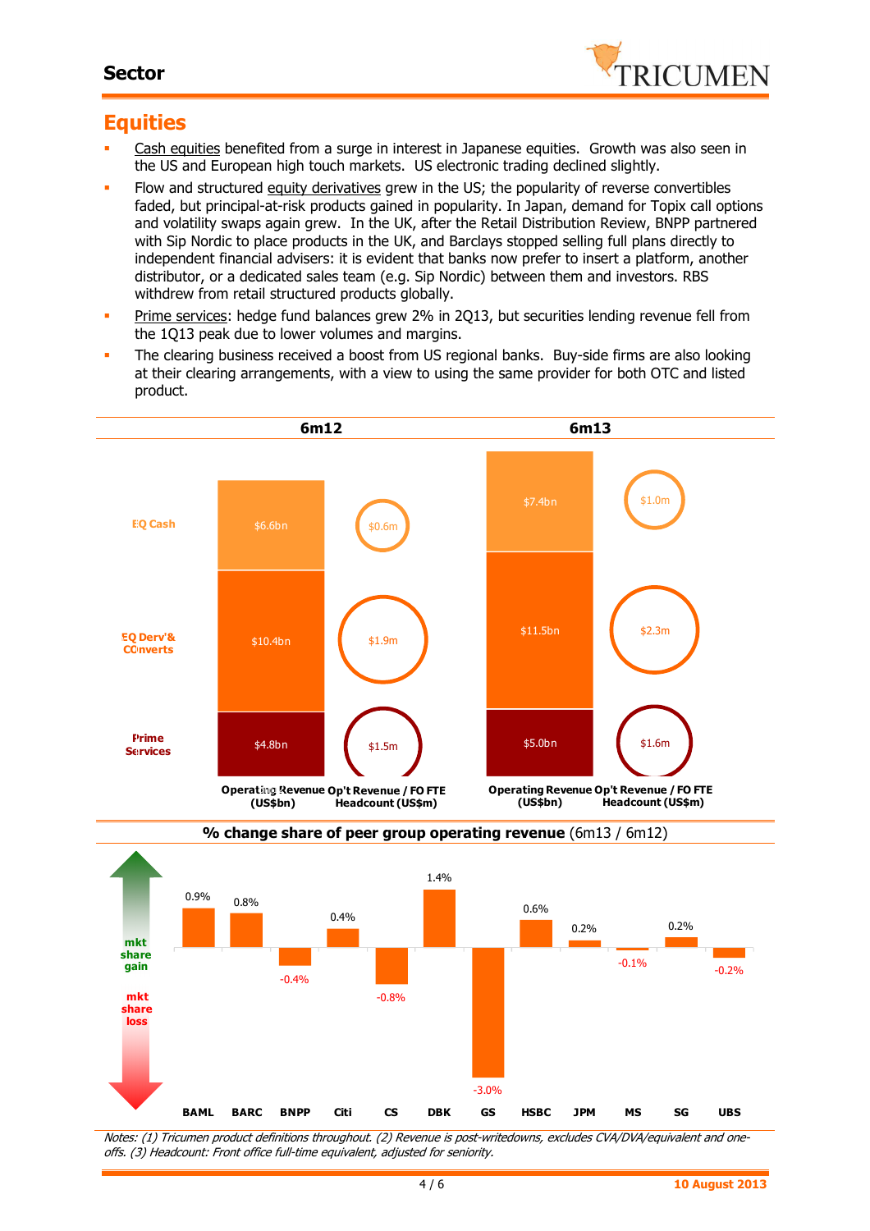

### **Equities**

-0.035 -0.03 -0.025 -0.02 **share** 

**loss**

- Cash equities benefited from a surge in interest in Japanese equities. Growth was also seen in the US and European high touch markets. US electronic trading declined slightly.
- Flow and structured equity derivatives grew in the US; the popularity of reverse convertibles faded, but principal-at-risk products gained in popularity. In Japan, demand for Topix call options and volatility swaps again grew. In the UK, after the Retail Distribution Review, BNPP partnered with Sip Nordic to place products in the UK, and Barclays stopped selling full plans directly to independent financial advisers: it is evident that banks now prefer to insert a platform, another distributor, or a dedicated sales team (e.g. Sip Nordic) between them and investors. RBS withdrew from retail structured products globally.
- **Prime services: hedge fund balances grew 2% in 2013, but securities lending revenue fell from** the 1Q13 peak due to lower volumes and margins.
- The clearing business received a boost from US regional banks. Buy-side firms are also looking at their clearing arrangements, with a view to using the same provider for both OTC and listed product.



Notes: (1) Tricumen product definitions throughout. (2) Revenue is post-writedowns, excludes CVA/DVA/equivalent and oneoffs. (3) Headcount: Front office full-time equivalent, adjusted for seniority.

-3.0%

**BAML BARC BNPP Citi CS DBK GS HSBC JPM MS SG UBS**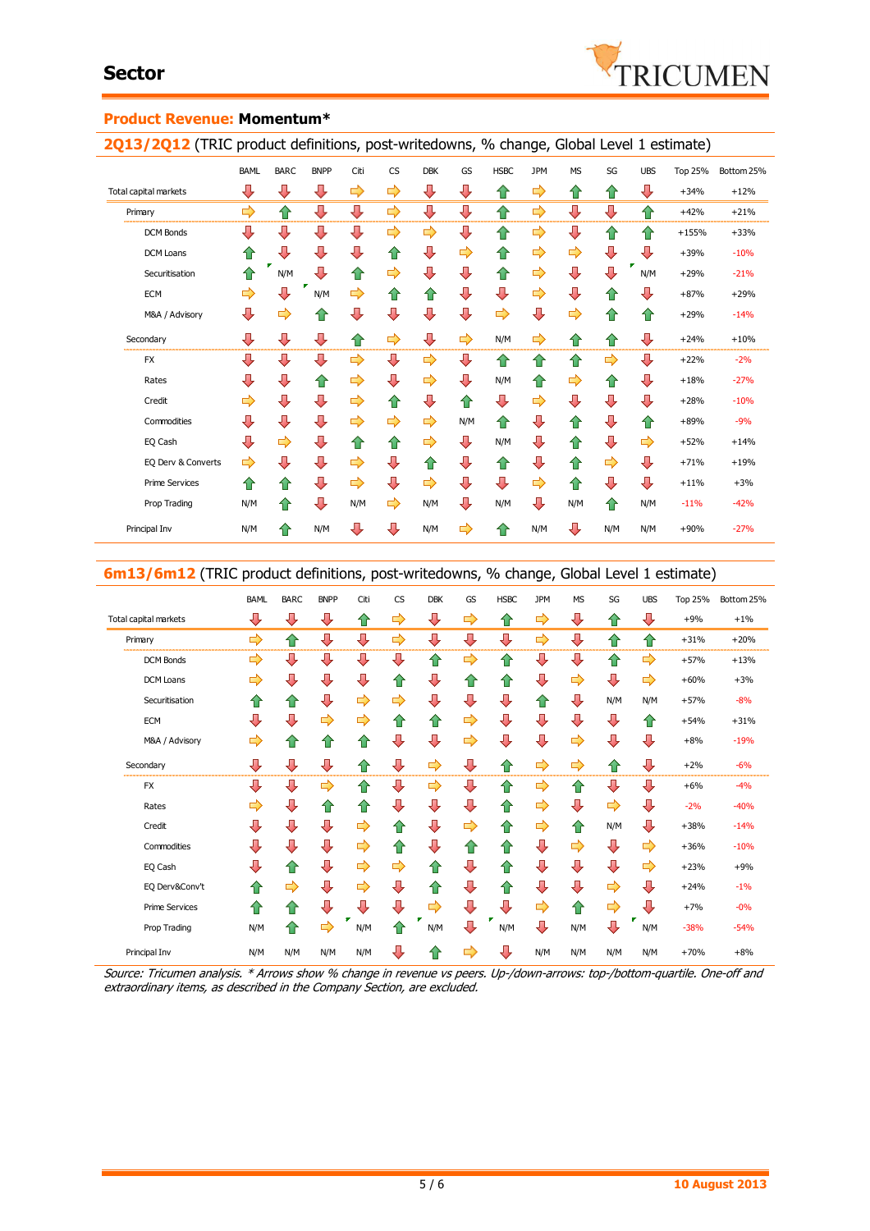

#### **Product Revenue: Momentum\***

2Q13/2Q12 (TRIC product definitions, post-writedowns, % change, Global Level 1 estimate)

|                       |             |             |             | . .  |    |               |     |             | ັ          |               |     |            | ,              |            |
|-----------------------|-------------|-------------|-------------|------|----|---------------|-----|-------------|------------|---------------|-----|------------|----------------|------------|
|                       | <b>BAML</b> | <b>BARC</b> | <b>BNPP</b> | Citi | CS | <b>DBK</b>    | GS  | <b>HSBC</b> | <b>JPM</b> | <b>MS</b>     | SG  | <b>UBS</b> | <b>Top 25%</b> | Bottom 25% |
| Total capital markets | ⊕           | ⇩           | ⊕           | ⇨    | ⇨  | ⊕             | ⊕   | ⇧           | ⇨          | ⇧             | ⇧   | ⇩          | $+34%$         | $+12%$     |
| Primary               | ⇨           | ⇑           | ⊕           | ⊕    | ⇨  | ⊕             | ⇩   | ⇧           | ⇨          | ⇩             | ⇩   | ⇧          | $+42%$         | $+21%$     |
| <b>DCM Bonds</b>      | ⊕           | ⇩           | ⊕           | ⊕    | ⇨  | $\Rightarrow$ | ⊕   | ⇧           | ⇨          | ⊕             | ⇧   | ⇧          | $+155%$        | $+33%$     |
| <b>DCM Loans</b>      | ✿           | ⇩           | ⇩           | ⊕    | ⇧  | ⊕             | ⇨   | ⇧           | ⇨          | $\Rightarrow$ | ⇩   | ⊕          | $+39%$         | $-10%$     |
| Securitisation        | ⇧           | N/M         | ⇩           | 合    | ⇨  | ⊕             | ⊕   | ⇧           | ⇨          | ⊕             | ⇩   | ₽<br>N/M   | $+29%$         | $-21%$     |
| <b>ECM</b>            | ⇨           | ⇩           | N/M         | ⇨    | ⇧  | ⇧             | ⇩   | ⇩           | ⇨          | ⊕             | ⇧   | ⇩          | $+87%$         | $+29%$     |
| M&A / Advisory        | ⊕           | ⇨           | ⇧           | ⊕    | ⇩  | ⇩             | ⇩   | ⇨           | ⇩          | ⇨             | ⇧   | ⇑          | $+29%$         | $-14%$     |
| Secondary             | ⊕           | ⇩           | ⇩           | ⇧    | ⇨  | ⊕             | ⇨   | N/M         | ⇨          | ✿             | ⇧   | ⇩          | $+24%$         | $+10%$     |
| <b>FX</b>             | ⊕           | ⇩           | ⊕           | ⇨    | ⇩  | ⇨             | ⊕   | ⇧           | ⇧          | 슙             | ⇨   | ⊕          | $+22%$         | $-2%$      |
| Rates                 | ⊕           | ⇩           | ⇧           | ⇨    | ⇩  | ⇨             | ⇩   | N/M         | 슙          | ⇨             | ⇧   | ⇩          | $+18%$         | $-27%$     |
| Credit                | ⇨           | ⇩           | ⇩           | ⇨    | ⇧  | ⇩             | ⇧   | ⊕           | ⇨          | ⊕             | ⇩   | ⊕          | $+28%$         | $-10%$     |
| Commodities           | ⇩           | ⇩           | ⇩           | ⇨    | ⇨  | ⇨             | N/M | 合           | ⊕          | ⇧             | ⇩   | ⇧          | $+89%$         | $-9%$      |
| EQ Cash               | ⊕           | ⇨           | ⇩           | ⇧    | ⇧  | ⇨             | ⊕   | N/M         | ⊕          | ⇧             | ⇩   | ⇨          | $+52%$         | $+14%$     |
| EQ Derv & Converts    | ⇨           | ⇩           | ⇩           | ⇨    | ⇩  | 仚             | ⇩   | ⇧           | ⇩          | ⇧             | ⇨   | ⇩          | $+71%$         | $+19%$     |
| <b>Prime Services</b> | ⇧           | ⇧           | ⇩           | ⇨    | ⇩  | $\Rightarrow$ | ⊕   | ⊕           | ⇨          | ⇧             | ⇩   | ⊕          | $+11%$         | $+3%$      |
| Prop Trading          | N/M         | ⇮           | ⇩           | N/M  | ⇨  | N/M           | ⊕   | N/M         | ⊕          | N/M           | ⇧   | N/M        | $-11%$         | $-42%$     |
| Principal Inv         | N/M         | ⇑           | N/M         | ⊕    | ⇩  | N/M           | ⇨   | ⇧           | N/M        | ⊕             | N/M | N/M        | $+90%$         | $-27%$     |

#### **6m13/6m12** (TRIC product definitions, post-writedowns, % change, Global Level 1 estimate)

|                       |             |                    | . .         |                    |           |            |    |             |            | ັ         |     |            | ,              |            |  |
|-----------------------|-------------|--------------------|-------------|--------------------|-----------|------------|----|-------------|------------|-----------|-----|------------|----------------|------------|--|
|                       | <b>BAML</b> | <b>BARC</b>        | <b>BNPP</b> | Citi               | <b>CS</b> | <b>DBK</b> | GS | <b>HSBC</b> | <b>JPM</b> | <b>MS</b> | SG  | <b>UBS</b> | <b>Top 25%</b> | Bottom 25% |  |
| Total capital markets | ⇩           | ⇩                  | ⇩           | ⇧                  | ⇨         | ⇩          | ⇨  | ⇑           | ⇨          | ⇩         | 企   | ⊕          | $+9%$          | $+1%$      |  |
| Primary               | ⇨           | ⇧                  | ⇩           | ⊕                  | ⇨         | ⊕          | ⊕  | ⊕           | ⇨          | ⊕         | 습   | ⇑          | $+31%$         | $+20%$     |  |
| <b>DCM Bonds</b>      | ⇨           | ⇩                  | ⇩           | ⊕                  | ⊕         | ⇧          | ⇨  | ⇧           | ⊕          | ⊕         | 企   | ⇨          | $+57%$         | $+13%$     |  |
| <b>DCM Loans</b>      | ⇨           | ⇩                  | ⇩           | ⊕                  | ⇑         | ⇩          | ⇧  | ⇧           | ⇩          | ⇨         | J   | ⇨          | $+60%$         | $+3%$      |  |
| Securitisation        | ⇧           | $\hat{\mathbf{r}}$ | ⇩           | ⇨                  | ⇨         | ⇩          | ⇩  | ⇩           | ⇑          | ⇩         | N/M | N/M        | $+57%$         | $-8%$      |  |
| <b>ECM</b>            | ⇩           | ⇩                  | ⇨           | ⇨                  | ⇧         | ⇧          | ⇨  | ⊕           | ⇩          | ⇩         | л   | ⇑          | $+54%$         | $+31%$     |  |
| M&A / Advisory        | ⇨           | $\Omega$           | ⇑           | $\hat{\mathbf{u}}$ | ⇩         | ⇩          | ⇨  | ⇩           | ⇩          | ⇨         | ⊕   | ⊕          | $+8%$          | $-19%$     |  |
| Secondary             | ⊕           | ⊕                  | ⊕           | ⇑                  | ⊕         | ⇨          | ⊕  | ⇑           | ⇨          | ⇨         | ⇧   | ⇩          | $+2%$          | $-6%$      |  |
| <b>FX</b>             | ⇩           | ⇩                  | ⇨           | ⇧                  | ⇩         | ⇨          | ⊕  | ⇑           | ⇨          | ⇧         | ⊕   | ⇩          | $+6%$          | $-4%$      |  |
| Rates                 | ⇨           | ⇩                  | €           | 仆                  | ⇩         | ⇩          | ⇩  | ⇧           | ⇨          | ⇩         | ⇨   | ⊕          | $-2%$          | $-40%$     |  |
| Credit                | ⇩           | ⇩                  | ⇩           | ⇨                  | ⇧         | ⇩          | ⇨  | ⇧           | ⇨          | ⇑         | N/M | ⇩          | $+38%$         | $-14%$     |  |
| Commodities           | ⊕           | ⇩                  | ⇩           | ⇨                  | ✿         | ⊕          | ⇧  | ⇑           | ⊕          | ⇨         | ⊕   | ⇨          | $+36%$         | $-10%$     |  |
| EQ Cash               | ⇩           | ⇧                  | ⇩           | ⇨                  | ⇨         | $\Omega$   | ⇩  | ⇧           | ⊕          | ⊕         | J   | ⇨          | $+23%$         | $+9%$      |  |
| EQ Derv&Conv't        | ⇑           | ⇨                  | ⇩           | ⇨                  | ⇩         | ⇧          | ⇩  | ⇑           | ⊕          | ⊕         | ⇨   | ⊕          | $+24%$         | $-1%$      |  |
| <b>Prime Services</b> | ⇑           | ⇧                  | ⇩           | ⇩                  | ⊕         | ⇨          | ⇩  | ⊕           | ⇨          | ✿         | ⇨   | ⊕          | $+7%$          | $-0%$      |  |
| Prop Trading          | N/M         | ⇧                  | ⇨           | N/M                | ⇑         | N/M        | ⇩  | N/M         | ⊕          | N/M       | ⇩   | N/M        | $-38%$         | $-54%$     |  |
| Principal Inv         | N/M         | N/M                | N/M         | N/M                | ⊕         | ⇑          | ⇨  | ⊕           | N/M        | N/M       | N/M | N/M        | $+70%$         | $+8%$      |  |

Source: Tricumen analysis. \* Arrows show % change in revenue vs peers. Up-/down-arrows: top-/bottom-quartile. One-off and extraordinary items, as described in the Company Section, are excluded.